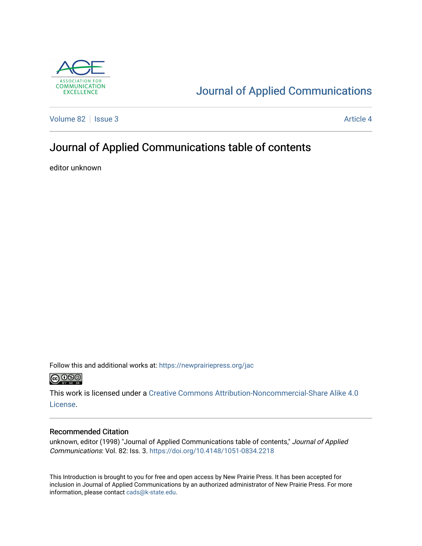

## [Journal of Applied Communications](https://newprairiepress.org/jac)

[Volume 82](https://newprairiepress.org/jac/vol82) | [Issue 3](https://newprairiepress.org/jac/vol82/iss3) Article 4

## Journal of Applied Communications table of contents

editor unknown

Follow this and additional works at: [https://newprairiepress.org/jac](https://newprairiepress.org/jac?utm_source=newprairiepress.org%2Fjac%2Fvol82%2Fiss3%2F4&utm_medium=PDF&utm_campaign=PDFCoverPages)  $\bigcirc$  0.90

This work is licensed under a [Creative Commons Attribution-Noncommercial-Share Alike 4.0](https://creativecommons.org/licenses/by-nc-sa/4.0/) [License.](https://creativecommons.org/licenses/by-nc-sa/4.0/)

#### Recommended Citation

unknown, editor (1998) "Journal of Applied Communications table of contents," Journal of Applied Communications: Vol. 82: Iss. 3.<https://doi.org/10.4148/1051-0834.2218>

This Introduction is brought to you for free and open access by New Prairie Press. It has been accepted for inclusion in Journal of Applied Communications by an authorized administrator of New Prairie Press. For more information, please contact [cads@k-state.edu](mailto:cads@k-state.edu).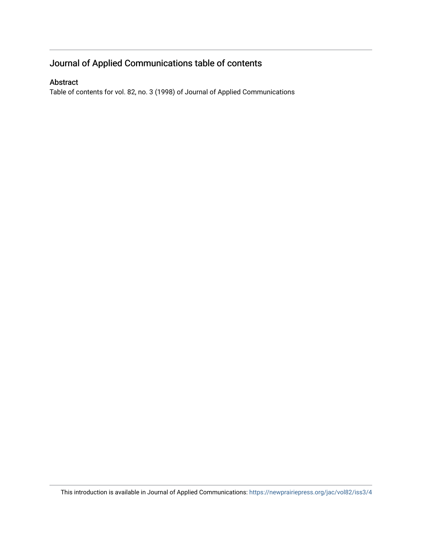### Journal of Applied Communications table of contents

#### Abstract

Table of contents for vol. 82, no. 3 (1998) of Journal of Applied Communications

This introduction is available in Journal of Applied Communications: <https://newprairiepress.org/jac/vol82/iss3/4>